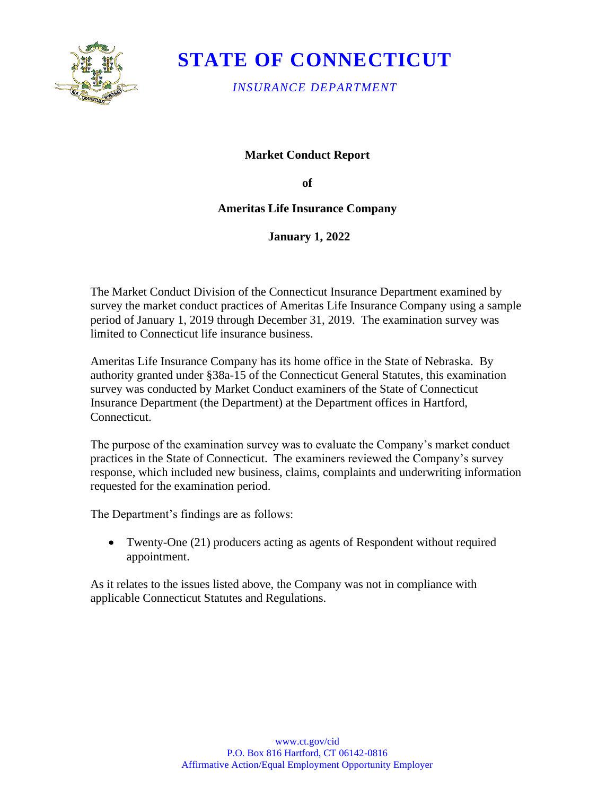

# **STATE OF CONNECTICUT**

*INSURANCE DEPARTMENT* 

**Market Conduct Report** 

**of** 

**Ameritas Life Insurance Company** 

**January 1, 2022** 

The Market Conduct Division of the Connecticut Insurance Department examined by survey the market conduct practices of Ameritas Life Insurance Company using a sample period of January 1, 2019 through December 31, 2019. The examination survey was limited to Connecticut life insurance business.

 Ameritas Life Insurance Company has its home office in the State of Nebraska. By authority granted under §38a-15 of the Connecticut General Statutes, this examination survey was conducted by Market Conduct examiners of the State of Connecticut Insurance Department (the Department) at the Department offices in Hartford, Connecticut.

The purpose of the examination survey was to evaluate the Company's market conduct practices in the State of Connecticut. The examiners reviewed the Company's survey response, which included new business, claims, complaints and underwriting information requested for the examination period.

The Department's findings are as follows:

• Twenty-One (21) producers acting as agents of Respondent without required appointment.

As it relates to the issues listed above, the Company was not in compliance with applicable Connecticut Statutes and Regulations.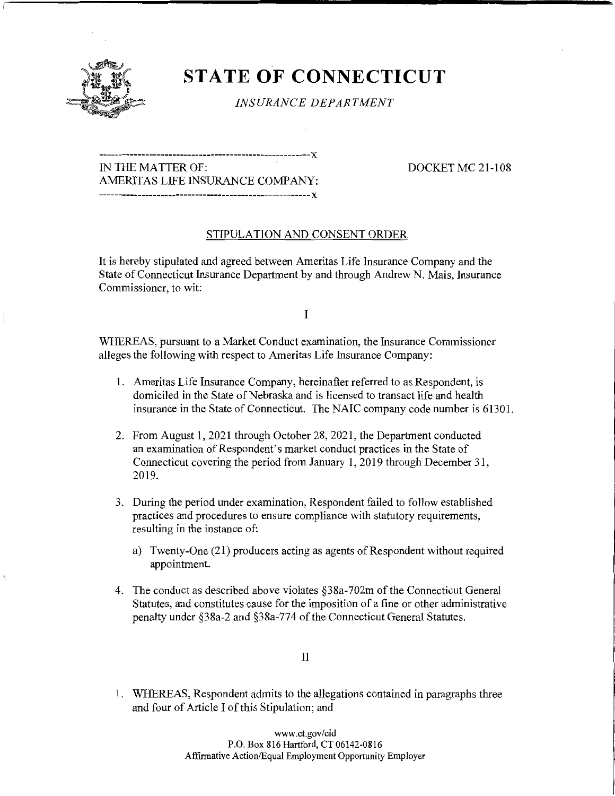

## **STATE OF CONNECTICUT**

*INSURANCE DEPARTMENT* 

### -------------------------------------------------------x IN THE MATTER OF: DOCKET MC 21-108 AMERITAS LIFE INSURANCE COMPANY: -------------------------------------------------------x

### STIPULATION AND CONSENT ORDER

It is hereby stipulated and agreed between Ameritas Life Insurance Company and the State of Connecticut Insurance Department by and through Andrew N. Mais, Insurance Commissioner, to wit:

I

WHEREAS, pursuant to a Market Conduct examination, the Insurance Commissioner alleges the following with respect to Ameritas Life Insurance Company:

- 1. Ameritas Life Insurance Company, hereinafter referred to as Respondent, is domiciled in the State of Nebraska and is licensed to transact life and health insurance in the State of Connecticut. The NAIC company code number is 61301.
- 2. From August 1, 2021 through October 28, 2021, the Department conducted an examination of Respondent's market conduct practices in the State of Connecticut covering the period from January 1, 2019 through December 31, 2019.
- 3. During the period under examination, Respondent failed to follow established practices and procedures to ensure compliance with statutory requirements, resulting in the instance of:
	- a) Twenty-One (21) producers acting as agents of Respondent without required appointment.
- 4. The conduct as described above violates §38a-702m of the Connecticut General Statutes, and constitutes cause for the imposition of a fine or other administrative penalty under §38a-2 and §38a-774 of the Connecticut General Statutes.

1. WHEREAS, Respondent admits to the allegations contained in paragraphs three and four of Article I of this Stipulation; and

> <www.ct.gov/cid> P.O. Box 816 Hartford, CT 06142-0816 Affirmative Action/Equal Employment Opportunity Employer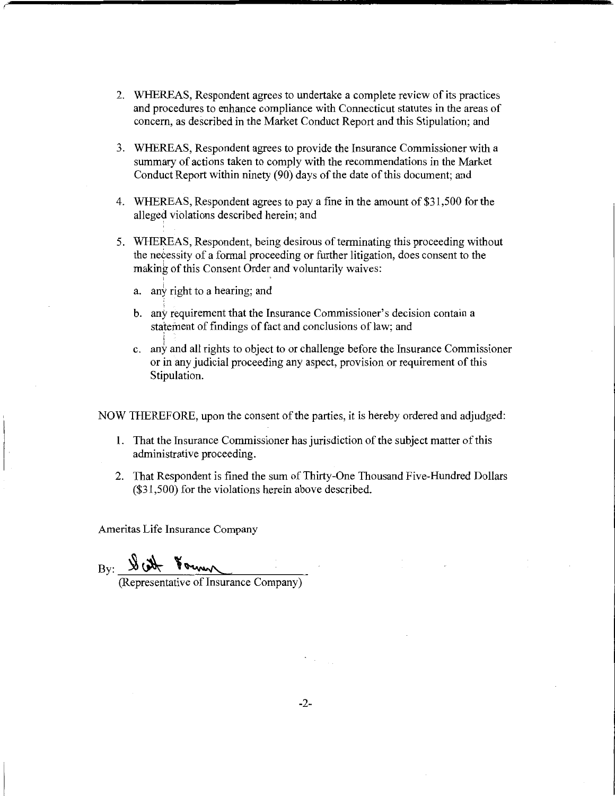- 2. WHEREAS, Respondent agrees to undertake a complete review of its practices and procedures to enhance compliance with Connecticut statutes in the areas of concern, as described in the Market Conduct Report and this Stipulation; and
- 3. WHEREAS, Respondent agrees to provide the Insurance Commissioner with a summary of actions taken to comply with the recommendations in the Market Conduct Report within ninety (90) days of the date of this document; and
- 4. WHEREAS, Respondent agrees to pay a fine in the amount of\$31,500 for the alleged violations described herein; and
- 5. WHEREAS, Respondent, being desirous of terminating this proceeding without the necessity of a formal proceeding or further litigation, does consent to the making of this Consent Order and voluntarily waives:
	- a. any right to a hearing; and
	- b. any requirement that the Insurance Commissioner's decision contain a statement of findings of fact and conclusions of law; and
	- c. any and all rights to object to or challenge before the Insurance Commissioner or in any judicial proceeding any aspect, provision or requirement of this Stipulation.

NOW THEREFORE, upon the consent of the parties, it is hereby ordered and adjudged:

- 1. That the Insurance Commissioner has jurisdiction of the subject matter of this administrative proceeding.
- 2. That Respondent is fined the sum of Thirty-One Thousand Five-Hundred Dollars (\$31,500) for the violations herein above described.

Ameritas Life Insurance Company

 $By:   
\nW   
\nH<sub>symm</sub> (Representative of Insurance Company)$